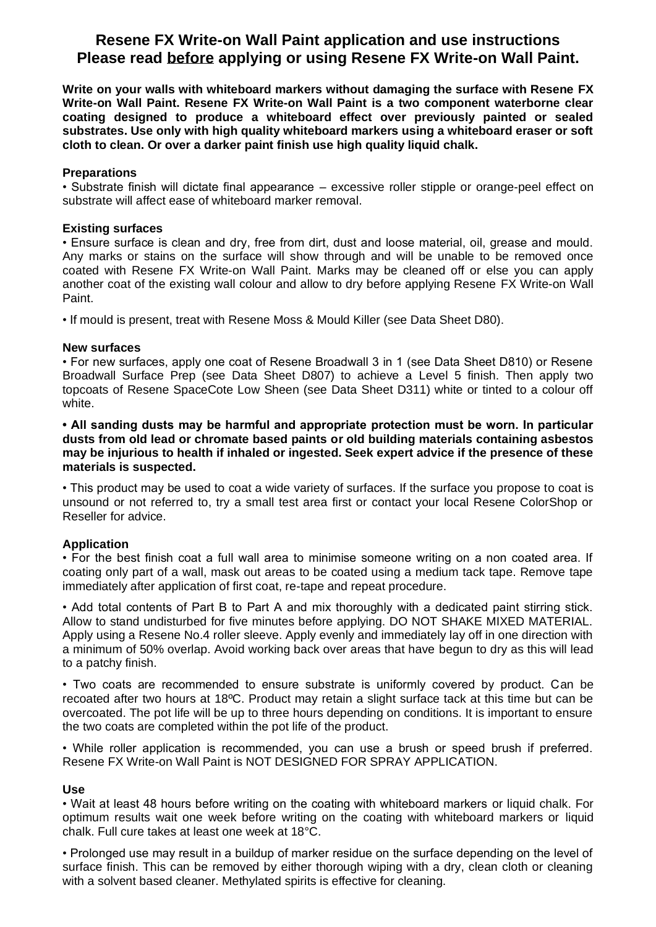# **Resene FX Write-on Wall Paint application and use instructions Please read before applying or using Resene FX Write-on Wall Paint.**

**Write on your walls with whiteboard markers without damaging the surface with Resene FX Write-on Wall Paint. Resene FX Write-on Wall Paint is a two component waterborne clear coating designed to produce a whiteboard effect over previously painted or sealed substrates. Use only with high quality whiteboard markers using a whiteboard eraser or soft cloth to clean. Or over a darker paint finish use high quality liquid chalk.**

## **Preparations**

• Substrate finish will dictate final appearance – excessive roller stipple or orange-peel effect on substrate will affect ease of whiteboard marker removal.

## **Existing surfaces**

• Ensure surface is clean and dry, free from dirt, dust and loose material, oil, grease and mould. Any marks or stains on the surface will show through and will be unable to be removed once coated with Resene FX Write-on Wall Paint. Marks may be cleaned off or else you can apply another coat of the existing wall colour and allow to dry before applying Resene FX Write-on Wall Paint.

• If mould is present, treat with Resene Moss & Mould Killer (see Data Sheet D80).

## **New surfaces**

• For new surfaces, apply one coat of Resene Broadwall 3 in 1 (see Data Sheet D810) or Resene Broadwall Surface Prep (see Data Sheet D807) to achieve a Level 5 finish. Then apply two topcoats of Resene SpaceCote Low Sheen (see Data Sheet D311) white or tinted to a colour off white.

**• All sanding dusts may be harmful and appropriate protection must be worn. In particular dusts from old lead or chromate based paints or old building materials containing asbestos may be injurious to health if inhaled or ingested. Seek expert advice if the presence of these materials is suspected.**

• This product may be used to coat a wide variety of surfaces. If the surface you propose to coat is unsound or not referred to, try a small test area first or contact your local Resene ColorShop or Reseller for advice.

# **Application**

• For the best finish coat a full wall area to minimise someone writing on a non coated area. If coating only part of a wall, mask out areas to be coated using a medium tack tape. Remove tape immediately after application of first coat, re-tape and repeat procedure.

• Add total contents of Part B to Part A and mix thoroughly with a dedicated paint stirring stick. Allow to stand undisturbed for five minutes before applying. DO NOT SHAKE MIXED MATERIAL. Apply using a Resene No.4 roller sleeve. Apply evenly and immediately lay off in one direction with a minimum of 50% overlap. Avoid working back over areas that have begun to dry as this will lead to a patchy finish.

• Two coats are recommended to ensure substrate is uniformly covered by product. Can be recoated after two hours at 18ºC. Product may retain a slight surface tack at this time but can be overcoated. The pot life will be up to three hours depending on conditions. It is important to ensure the two coats are completed within the pot life of the product.

• While roller application is recommended, you can use a brush or speed brush if preferred. Resene FX Write-on Wall Paint is NOT DESIGNED FOR SPRAY APPLICATION.

# **Use**

• Wait at least 48 hours before writing on the coating with whiteboard markers or liquid chalk. For optimum results wait one week before writing on the coating with whiteboard markers or liquid chalk. Full cure takes at least one week at 18°C.

• Prolonged use may result in a buildup of marker residue on the surface depending on the level of surface finish. This can be removed by either thorough wiping with a dry, clean cloth or cleaning with a solvent based cleaner. Methylated spirits is effective for cleaning.